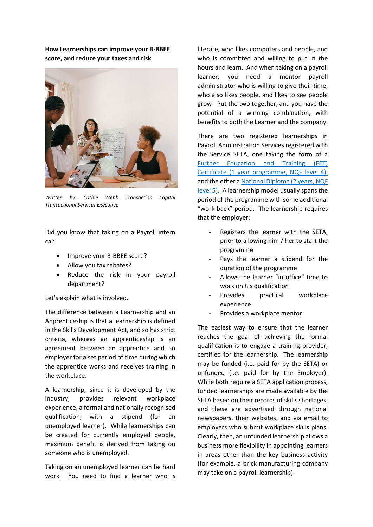**How Learnerships can improve your B-BBEE score, and reduce your taxes and risk**



*Written by: Cathie Webb Transaction Capital Transactional Services Executive*

Did you know that taking on a Payroll intern can:

- Improve your B-BBEE score?
- Allow you tax rebates?
- Reduce the risk in your payroll department?

Let's explain what is involved.

The difference between a Learnership and an Apprenticeship is that a learnership is defined in the Skills Development Act, and so has strict criteria, whereas an apprenticeship is an agreement between an apprentice and an employer for a set period of time during which the apprentice works and receives training in the workplace.

A learnership, since it is developed by the industry, provides relevant workplace experience, a formal and nationally recognised qualification, with a stipend (for an unemployed learner). While learnerships can be created for currently employed people, maximum benefit is derived from taking on someone who is unemployed.

Taking on an unemployed learner can be hard work. You need to find a learner who is literate, who likes computers and people, and who is committed and willing to put in the hours and learn. And when taking on a payroll learner, you need a mentor payroll administrator who is willing to give their time, who also likes people, and likes to see people grow! Put the two together, and you have the potential of a winning combination, with benefits to both the Learner and the company.

There are two registered learnerships in Payroll Administration Services registered with the Service SETA, one taking the form of a [Further Education and Training \(FET\)](https://regqs.saqa.org.za/showQualification.php?id=93995)  [Certificate \(1 year programme, NQF level 4\),](https://regqs.saqa.org.za/showQualification.php?id=93995) and the other [a National Diploma \(2 years, NQF](https://regqs.saqa.org.za/showQualification.php?id=67229)  [level 5\).](https://regqs.saqa.org.za/showQualification.php?id=67229) A learnership model usually spans the period of the programme with some additional "work back" period. The learnership requires that the employer:

- Registers the learner with the SETA, prior to allowing him / her to start the programme
- Pays the learner a stipend for the duration of the programme
- Allows the learner "in office" time to work on his qualification
- Provides practical workplace experience
- Provides a workplace mentor

The easiest way to ensure that the learner reaches the goal of achieving the formal qualification is to engage a training provider, certified for the learnership. The learnership may be funded (i.e. paid for by the SETA) or unfunded (i.e. paid for by the Employer). While both require a SETA application process, funded learnerships are made available by the SETA based on their records of skills shortages, and these are advertised through national newspapers, their websites, and via email to employers who submit workplace skills plans. Clearly, then, an unfunded learnership allows a business more flexibility in appointing learners in areas other than the key business activity (for example, a brick manufacturing company may take on a payroll learnership).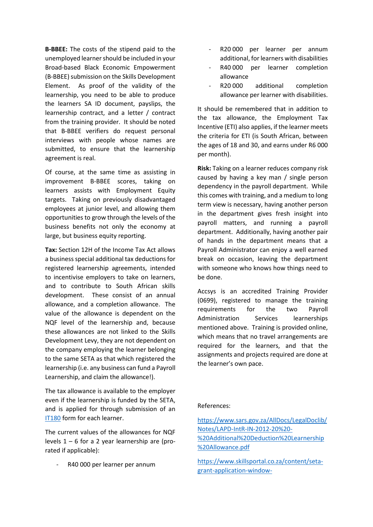**B-BBEE:** The costs of the stipend paid to the unemployed learner should be included in your Broad-based Black Economic Empowerment (B-BBEE) submission on the Skills Development Element. As proof of the validity of the learnership, you need to be able to produce the learners SA ID document, payslips, the learnership contract, and a letter / contract from the training provider. It should be noted that B-BBEE verifiers do request personal interviews with people whose names are submitted, to ensure that the learnership agreement is real.

Of course, at the same time as assisting in improvement B-BBEE scores, taking on learners assists with Employment Equity targets. Taking on previously disadvantaged employees at junior level, and allowing them opportunities to grow through the levels of the business benefits not only the economy at large, but business equity reporting.

**Tax:** Section 12H of the Income Tax Act allows a business special additional tax deductions for registered learnership agreements, intended to incentivise employers to take on learners, and to contribute to South African skills development. These consist of an annual allowance, and a completion allowance. The value of the allowance is dependent on the NQF level of the learnership and, because these allowances are not linked to the Skills Development Levy, they are not dependent on the company employing the learner belonging to the same SETA as that which registered the learnership (i.e. any business can fund a Payroll Learnership, and claim the allowance!).

The tax allowance is available to the employer even if the learnership is funded by the SETA, and is applied for through submission of an [IT180](https://www.sars.gov.za/AllDocs/OpsDocs/SARSForms/IT180%20-%20Declaration%20by%20Employer%20to%20Claim%20Deduction%20against%20Learnerships%20-%20External%20Form.pdf) form for each learner.

The current values of the allowances for NQF levels  $1 - 6$  for a 2 year learnership are (prorated if applicable):

R40 000 per learner per annum

- R20 000 per learner per annum additional, for learners with disabilities
- R40 000 per learner completion allowance
- R20 000 additional completion allowance per learner with disabilities.

It should be remembered that in addition to the tax allowance, the Employment Tax Incentive (ETI) also applies, if the learner meets the criteria for ETI (is South African, between the ages of 18 and 30, and earns under R6 000 per month).

**Risk:** Taking on a learner reduces company risk caused by having a key man / single person dependency in the payroll department. While this comes with training, and a medium to long term view is necessary, having another person in the department gives fresh insight into payroll matters, and running a payroll department. Additionally, having another pair of hands in the department means that a Payroll Administrator can enjoy a well earned break on occasion, leaving the department with someone who knows how things need to be done.

Accsys is an accredited Training Provider (0699), registered to manage the training requirements for the two Payroll Administration Services learnerships mentioned above. Training is provided online, which means that no travel arrangements are required for the learners, and that the assignments and projects required are done at the learner's own pace.

## References:

[https://www.sars.gov.za/AllDocs/LegalDoclib/](https://www.sars.gov.za/AllDocs/LegalDoclib/Notes/LAPD-IntR-IN-2012-20%20-%20Additional%20Deduction%20Learnership%20Allowance.pdf) [Notes/LAPD-IntR-IN-2012-20%20-](https://www.sars.gov.za/AllDocs/LegalDoclib/Notes/LAPD-IntR-IN-2012-20%20-%20Additional%20Deduction%20Learnership%20Allowance.pdf) [%20Additional%20Deduction%20Learnership](https://www.sars.gov.za/AllDocs/LegalDoclib/Notes/LAPD-IntR-IN-2012-20%20-%20Additional%20Deduction%20Learnership%20Allowance.pdf) [%20Allowance.pdf](https://www.sars.gov.za/AllDocs/LegalDoclib/Notes/LAPD-IntR-IN-2012-20%20-%20Additional%20Deduction%20Learnership%20Allowance.pdf)

[https://www.skillsportal.co.za/content/seta](https://www.skillsportal.co.za/content/seta-grant-application-window-open#:~:text=Mandatory%20Grants%20are%20paid%20by,Report%20before%2030%20April%202018)[grant-application-window-](https://www.skillsportal.co.za/content/seta-grant-application-window-open#:~:text=Mandatory%20Grants%20are%20paid%20by,Report%20before%2030%20April%202018)